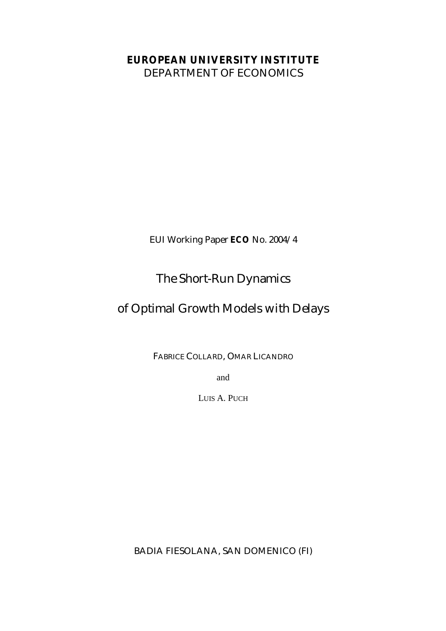### **EUROPEAN UNIVERSITY INSTITUTE**

DEPARTMENT OF ECONOMICS

EUI Working Paper **ECO** No. 2004/4

## The Short-Run Dynamics

### of Optimal Growth Models with Delays

FABRICE COLLARD, OMAR LICANDRO

and

LUIS A. PUCH

BADIA FIESOLANA, SAN DOMENICO (FI)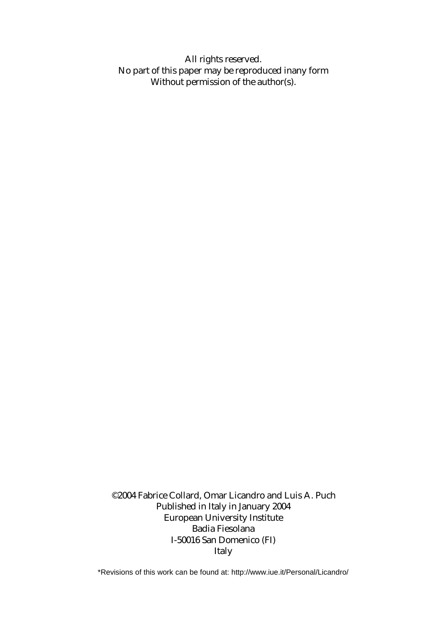All rights reserved. No part of this paper may be reproduced inany form Without permission of the author(s).

©2004 Fabrice Collard, Omar Licandro and Luis A. Puch Published in Italy in January 2004 European University Institute Badia Fiesolana I-50016 San Domenico (FI) Italy

\*Revisions of this work can be found at: http://www.iue.it/Personal/Licandro/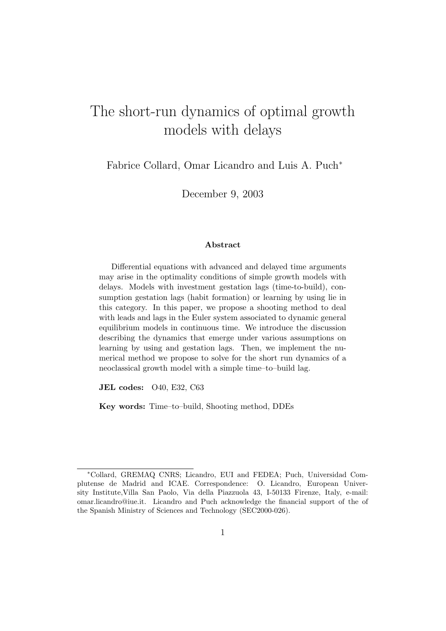# The short-run dynamics of optimal growth models with delays

Fabrice Collard, Omar Licandro and Luis A. Puch<sup>\*</sup>

December 9, 2003

#### Abstract

Differential equations with advanced and delayed time arguments may arise in the optimality conditions of simple growth models with delays. Models with investment gestation lags (time-to-build), consumption gestation lags (habit formation) or learning by using lie in this category. In this paper, we propose a shooting method to deal with leads and lags in the Euler system associated to dynamic general equilibrium models in continuous time. We introduce the discussion describing the dynamics that emerge under various assumptions on learning by using and gestation lags. Then, we implement the numerical method we propose to solve for the short run dynamics of a neoclassical growth model with a simple time–to–build lag.

JEL codes: O40, E32, C63

Key words: Time–to–build, Shooting method, DDEs

<sup>∗</sup>Collard, GREMAQ CNRS; Licandro, EUI and FEDEA; Puch, Universidad Complutense de Madrid and ICAE. Correspondence: O. Licandro, European University Institute,Villa San Paolo, Via della Piazzuola 43, I-50133 Firenze, Italy, e-mail: omar.licandro@iue.it. Licandro and Puch acknowledge the financial support of the of the Spanish Ministry of Sciences and Technology (SEC2000-026).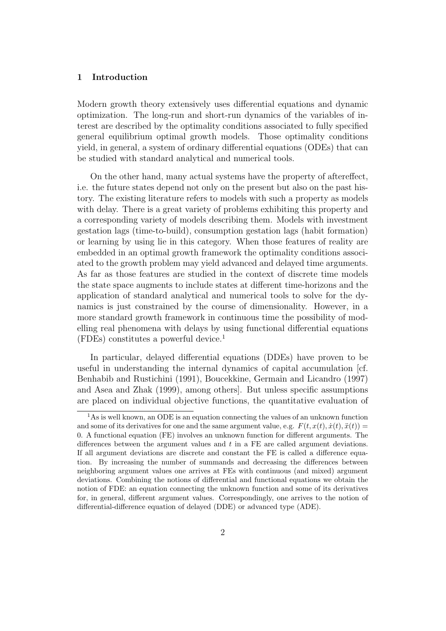#### 1 Introduction

Modern growth theory extensively uses differential equations and dynamic optimization. The long-run and short-run dynamics of the variables of interest are described by the optimality conditions associated to fully specified general equilibrium optimal growth models. Those optimality conditions yield, in general, a system of ordinary differential equations (ODEs) that can be studied with standard analytical and numerical tools.

On the other hand, many actual systems have the property of aftereffect, i.e. the future states depend not only on the present but also on the past history. The existing literature refers to models with such a property as models with delay. There is a great variety of problems exhibiting this property and a corresponding variety of models describing them. Models with investment gestation lags (time-to-build), consumption gestation lags (habit formation) or learning by using lie in this category. When those features of reality are embedded in an optimal growth framework the optimality conditions associated to the growth problem may yield advanced and delayed time arguments. As far as those features are studied in the context of discrete time models the state space augments to include states at different time-horizons and the application of standard analytical and numerical tools to solve for the dynamics is just constrained by the course of dimensionality. However, in a more standard growth framework in continuous time the possibility of modelling real phenomena with delays by using functional differential equations (FDEs) constitutes a powerful device.<sup>1</sup>

In particular, delayed differential equations (DDEs) have proven to be useful in understanding the internal dynamics of capital accumulation [cf. Benhabib and Rustichini (1991), Boucekkine, Germain and Licandro (1997) and Asea and Zhak (1999), among others]. But unless specific assumptions are placed on individual objective functions, the quantitative evaluation of

<sup>&</sup>lt;sup>1</sup>As is well known, an ODE is an equation connecting the values of an unknown function and some of its derivatives for one and the same argument value, e.g.  $F(t, x(t), \dot{x}(t), \ddot{x}(t)) =$ 0. A functional equation (FE) involves an unknown function for different arguments. The differences between the argument values and t in a FE are called argument deviations. If all argument deviations are discrete and constant the FE is called a difference equation. By increasing the number of summands and decreasing the differences between neighboring argument values one arrives at FEs with continuous (and mixed) argument deviations. Combining the notions of differential and functional equations we obtain the notion of FDE: an equation connecting the unknown function and some of its derivatives for, in general, different argument values. Correspondingly, one arrives to the notion of differential-difference equation of delayed (DDE) or advanced type (ADE).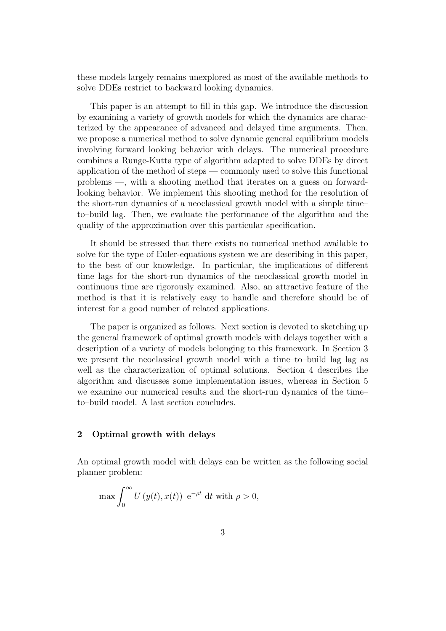these models largely remains unexplored as most of the available methods to solve DDEs restrict to backward looking dynamics.

This paper is an attempt to fill in this gap. We introduce the discussion by examining a variety of growth models for which the dynamics are characterized by the appearance of advanced and delayed time arguments. Then, we propose a numerical method to solve dynamic general equilibrium models involving forward looking behavior with delays. The numerical procedure combines a Runge-Kutta type of algorithm adapted to solve DDEs by direct application of the method of steps — commonly used to solve this functional problems —, with a shooting method that iterates on a guess on forwardlooking behavior. We implement this shooting method for the resolution of the short-run dynamics of a neoclassical growth model with a simple time– to–build lag. Then, we evaluate the performance of the algorithm and the quality of the approximation over this particular specification.

It should be stressed that there exists no numerical method available to solve for the type of Euler-equations system we are describing in this paper, to the best of our knowledge. In particular, the implications of different time lags for the short-run dynamics of the neoclassical growth model in continuous time are rigorously examined. Also, an attractive feature of the method is that it is relatively easy to handle and therefore should be of interest for a good number of related applications.

The paper is organized as follows. Next section is devoted to sketching up the general framework of optimal growth models with delays together with a description of a variety of models belonging to this framework. In Section 3 we present the neoclassical growth model with a time–to–build lag lag as well as the characterization of optimal solutions. Section 4 describes the algorithm and discusses some implementation issues, whereas in Section 5 we examine our numerical results and the short-run dynamics of the time– to–build model. A last section concludes.

#### 2 Optimal growth with delays

An optimal growth model with delays can be written as the following social planner problem:

$$
\max \int_0^\infty U\left(y(t), x(t)\right) e^{-\rho t} dt \text{ with } \rho > 0,
$$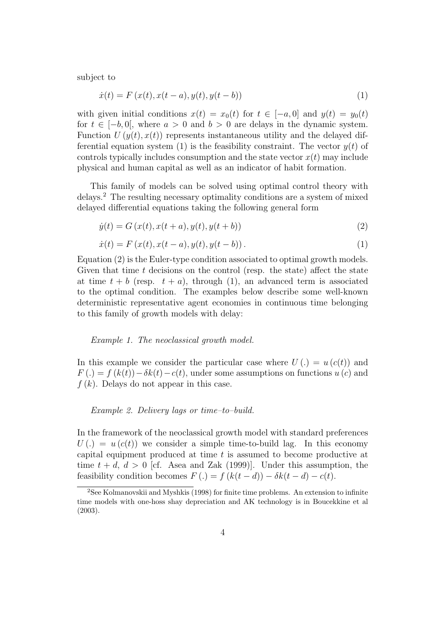subject to

$$
\dot{x}(t) = F(x(t), x(t-a), y(t), y(t-b))
$$
\n(1)

with given initial conditions  $x(t) = x_0(t)$  for  $t \in [-a, 0]$  and  $y(t) = y_0(t)$ for  $t \in [-b, 0]$ , where  $a > 0$  and  $b > 0$  are delays in the dynamic system. Function  $U(y(t), x(t))$  represents instantaneous utility and the delayed differential equation system (1) is the feasibility constraint. The vector  $y(t)$  of controls typically includes consumption and the state vector  $x(t)$  may include physical and human capital as well as an indicator of habit formation.

This family of models can be solved using optimal control theory with delays.<sup>2</sup> The resulting necessary optimality conditions are a system of mixed delayed differential equations taking the following general form

$$
\dot{y}(t) = G(x(t), x(t+a), y(t), y(t+b))
$$
\n(2)

$$
\dot{x}(t) = F(x(t), x(t-a), y(t), y(t-b)).
$$
\n(1)

Equation (2) is the Euler-type condition associated to optimal growth models. Given that time  $t$  decisions on the control (resp. the state) affect the state at time  $t + b$  (resp.  $t + a$ ), through (1), an advanced term is associated to the optimal condition. The examples below describe some well-known deterministic representative agent economies in continuous time belonging to this family of growth models with delay:

Example 1. The neoclassical growth model.

In this example we consider the particular case where  $U(.) = u(c(t))$  and  $F(.) = f(k(t)) - \delta k(t) - c(t)$ , under some assumptions on functions  $u(c)$  and  $f(k)$ . Delays do not appear in this case.

Example 2. Delivery lags or time–to–build.

In the framework of the neoclassical growth model with standard preferences  $U(.) = u(c(t))$  we consider a simple time-to-build lag. In this economy capital equipment produced at time  $t$  is assumed to become productive at time  $t + d$ ,  $d > 0$  [cf. Asea and Zak (1999)]. Under this assumption, the feasibility condition becomes  $F(.) = f (k(t-d)) - \delta k(t-d) - c(t)$ .

<sup>2</sup>See Kolmanovskii and Myshkis (1998) for finite time problems. An extension to infinite time models with one-hoss shay depreciation and AK technology is in Boucekkine et al (2003).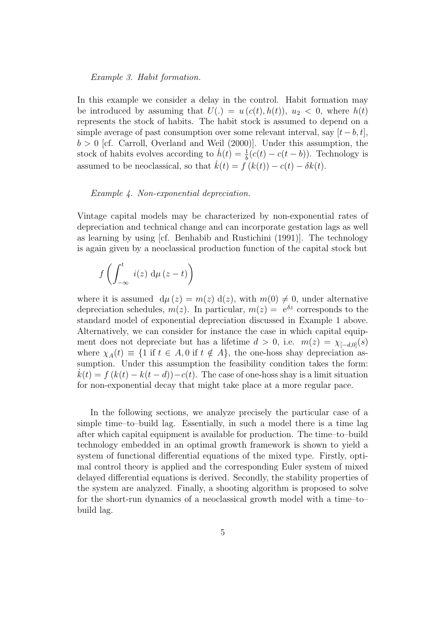Example 3. Habit formation.

In this example we consider a delay in the control. Habit formation may be introduced by assuming that  $U(.) = u(c(t), h(t)), u_2 < 0$ , where  $h(t)$ represents the stock of habits. The habit stock is assumed to depend on a simple average of past consumption over some relevant interval, say  $[t - b, t]$ ,  $b > 0$  [cf. Carroll, Overland and Weil (2000)]. Under this assumption, the stock of habits evolves according to  $\dot{h}(t) = \frac{1}{h}$  $\frac{1}{b}(c(t) - c(t - b))$ . Technology is assumed to be neoclassical, so that  $k(t) = f (k(t)) - c(t) - \delta k(t)$ .

#### Example 4. Non-exponential depreciation.

Vintage capital models may be characterized by non-exponential rates of depreciation and technical change and can incorporate gestation lags as well as learning by using [cf. Benhabib and Rustichini (1991)]. The technology is again given by a neoclassical production function of the capital stock but

$$
f\left(\int_{-\infty}^{t} i(z) \, \mathrm{d}\mu(z-t)\right)
$$

where it is assumed  $d\mu(z) = m(z) d(z)$ , with  $m(0) \neq 0$ , under alternative depreciation schedules,  $m(z)$ . In particular,  $m(z) = e^{\delta z}$  corresponds to the standard model of exponential depreciation discussed in Example 1 above. Alternatively, we can consider for instance the case in which capital equipment does not depreciate but has a lifetime  $d > 0$ , i.e.  $m(z) = \chi_{[-d,0]}(s)$ where  $\chi_A(t) \equiv \{1 \text{ if } t \in A, 0 \text{ if } t \notin A\}$ , the one-hoss shay depreciation assumption. Under this assumption the feasibility condition takes the form:  $k(t) = f (k(t) - k(t-d)) - c(t)$ . The case of one-hoss shay is a limit situation for non-exponential decay that might take place at a more regular pace.

In the following sections, we analyze precisely the particular case of a simple time–to–build lag. Essentially, in such a model there is a time lag after which capital equipment is available for production. The time–to–build technology embedded in an optimal growth framework is shown to yield a system of functional differential equations of the mixed type. Firstly, optimal control theory is applied and the corresponding Euler system of mixed delayed differential equations is derived. Secondly, the stability properties of the system are analyzed. Finally, a shooting algorithm is proposed to solve for the short-run dynamics of a neoclassical growth model with a time–to– build lag.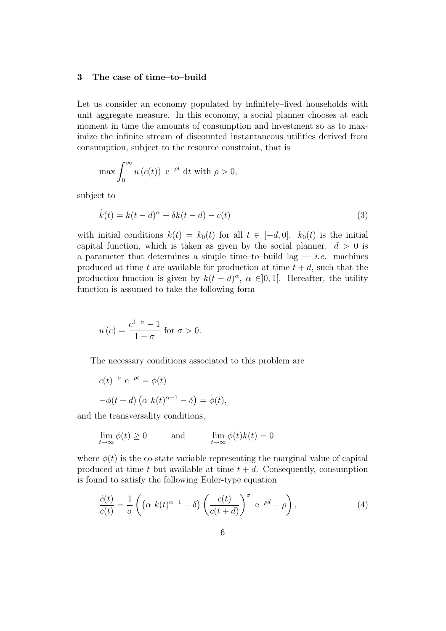#### 3 The case of time–to–build

Let us consider an economy populated by infinitely–lived households with unit aggregate measure. In this economy, a social planner chooses at each moment in time the amounts of consumption and investment so as to maximize the infinite stream of discounted instantaneous utilities derived from consumption, subject to the resource constraint, that is

$$
\max \int_0^\infty u\left(c(t)\right) e^{-\rho t} dt \text{ with } \rho > 0,
$$

subject to

$$
\dot{k}(t) = k(t - d)^{\alpha} - \delta k(t - d) - c(t)
$$
\n(3)

with initial conditions  $k(t) = k_0(t)$  for all  $t \in [-d, 0]$ .  $k_0(t)$  is the initial capital function, which is taken as given by the social planner.  $d > 0$  is a parameter that determines a simple time–to–build lag — *i.e.* machines produced at time t are available for production at time  $t + d$ , such that the production function is given by  $k(t - d)^\alpha$ ,  $\alpha \in ]0,1[$ . Hereafter, the utility function is assumed to take the following form

$$
u(c) = \frac{c^{1-\sigma} - 1}{1 - \sigma} \text{ for } \sigma > 0.
$$

The necessary conditions associated to this problem are

$$
c(t)^{-\sigma} e^{-\rho t} = \phi(t)
$$
  
- $\phi(t + d) (\alpha k(t)^{\alpha - 1} - \delta) = \dot{\phi}(t),$ 

and the transversality conditions,

$$
\lim_{t \to \infty} \phi(t) \ge 0 \quad \text{and} \quad \lim_{t \to \infty} \phi(t)k(t) = 0
$$

where  $\phi(t)$  is the co-state variable representing the marginal value of capital produced at time t but available at time  $t + d$ . Consequently, consumption is found to satisfy the following Euler-type equation

$$
\frac{\dot{c}(t)}{c(t)} = \frac{1}{\sigma} \left( \left( \alpha \ k(t)^{\alpha - 1} - \delta \right) \left( \frac{c(t)}{c(t + d)} \right)^{\sigma} \ e^{-\rho d} - \rho \right),\tag{4}
$$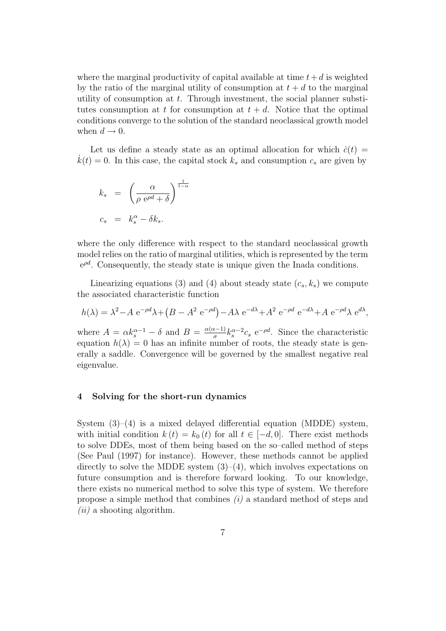where the marginal productivity of capital available at time  $t+d$  is weighted by the ratio of the marginal utility of consumption at  $t + d$  to the marginal utility of consumption at  $t$ . Through investment, the social planner substitutes consumption at t for consumption at  $t + d$ . Notice that the optimal conditions converge to the solution of the standard neoclassical growth model when  $d \rightarrow 0$ .

Let us define a steady state as an optimal allocation for which  $c(t)$  =  $\dot{k}(t) = 0$ . In this case, the capital stock  $k_s$  and consumption  $c_s$  are given by

$$
k_s = \left(\frac{\alpha}{\rho e^{\rho d} + \delta}\right)^{\frac{1}{1-\alpha}}
$$
  

$$
c_s = k_s^{\alpha} - \delta k_s.
$$

where the only difference with respect to the standard neoclassical growth model relies on the ratio of marginal utilities, which is represented by the term  $e^{\rho d}$ . Consequently, the steady state is unique given the Inada conditions.

Linearizing equations (3) and (4) about steady state  $(c_s, k_s)$  we compute the associated characteristic function

$$
h(\lambda) = \lambda^2 - A e^{-\rho d} \lambda + (B - A^2 e^{-\rho d}) - A \lambda e^{-d\lambda} + A^2 e^{-\rho d} e^{-d\lambda} + A e^{-\rho d} \lambda e^{d\lambda},
$$

where  $A = \alpha k_s^{\alpha - 1} - \delta$  and  $B = \frac{\alpha(\alpha - 1)}{\sigma}$  $\frac{1}{\sigma}k_s^{\alpha-2}c_s$  e<sup>-pd</sup>. Since the characteristic equation  $h(\lambda) = 0$  has an infinite number of roots, the steady state is generally a saddle. Convergence will be governed by the smallest negative real eigenvalue.

#### 4 Solving for the short-run dynamics

System  $(3)-(4)$  is a mixed delayed differential equation (MDDE) system, with initial condition  $k(t) = k_0(t)$  for all  $t \in [-d, 0]$ . There exist methods to solve DDEs, most of them being based on the so–called method of steps (See Paul (1997) for instance). However, these methods cannot be applied directly to solve the MDDE system  $(3)$ – $(4)$ , which involves expectations on future consumption and is therefore forward looking. To our knowledge, there exists no numerical method to solve this type of system. We therefore propose a simple method that combines  $(i)$  a standard method of steps and  $(ii)$  a shooting algorithm.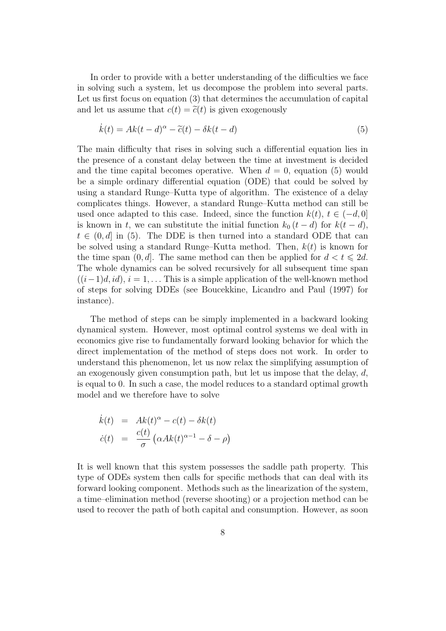In order to provide with a better understanding of the difficulties we face in solving such a system, let us decompose the problem into several parts. Let us first focus on equation (3) that determines the accumulation of capital and let us assume that  $c(t) = \tilde{c}(t)$  is given exogenously

$$
\dot{k}(t) = Ak(t-d)^{\alpha} - \tilde{c}(t) - \delta k(t-d)
$$
\n(5)

The main difficulty that rises in solving such a differential equation lies in the presence of a constant delay between the time at investment is decided and the time capital becomes operative. When  $d = 0$ , equation (5) would be a simple ordinary differential equation (ODE) that could be solved by using a standard Runge–Kutta type of algorithm. The existence of a delay complicates things. However, a standard Runge–Kutta method can still be used once adapted to this case. Indeed, since the function  $k(t)$ ,  $t \in (-d, 0]$ is known in t, we can substitute the initial function  $k_0$   $(t - d)$  for  $k(t - d)$ ,  $t \in (0, d]$  in (5). The DDE is then turned into a standard ODE that can be solved using a standard Runge–Kutta method. Then,  $k(t)$  is known for the time span  $(0, d]$ . The same method can then be applied for  $d < t \leq 2d$ . The whole dynamics can be solved recursively for all subsequent time span  $((i-1)d, id), i = 1, \ldots$  This is a simple application of the well-known method of steps for solving DDEs (see Boucekkine, Licandro and Paul (1997) for instance).

The method of steps can be simply implemented in a backward looking dynamical system. However, most optimal control systems we deal with in economics give rise to fundamentally forward looking behavior for which the direct implementation of the method of steps does not work. In order to understand this phenomenon, let us now relax the simplifying assumption of an exogenously given consumption path, but let us impose that the delay,  $d$ , is equal to 0. In such a case, the model reduces to a standard optimal growth model and we therefore have to solve

$$
\dot{k}(t) = Ak(t)^{\alpha} - c(t) - \delta k(t)
$$
  

$$
\dot{c}(t) = \frac{c(t)}{\sigma} (\alpha Ak(t)^{\alpha-1} - \delta - \rho)
$$

It is well known that this system possesses the saddle path property. This type of ODEs system then calls for specific methods that can deal with its forward looking component. Methods such as the linearization of the system, a time–elimination method (reverse shooting) or a projection method can be used to recover the path of both capital and consumption. However, as soon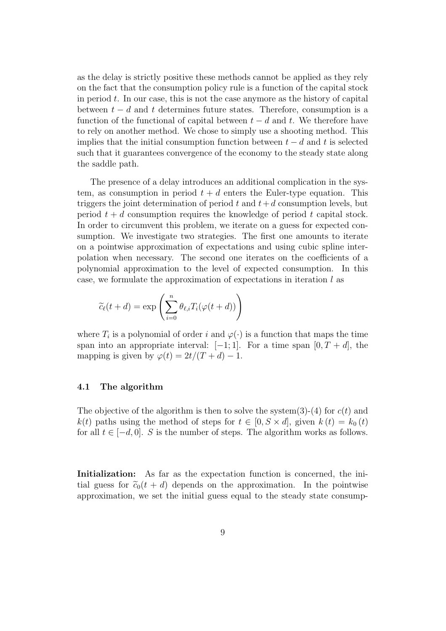as the delay is strictly positive these methods cannot be applied as they rely on the fact that the consumption policy rule is a function of the capital stock in period  $t$ . In our case, this is not the case anymore as the history of capital between  $t - d$  and t determines future states. Therefore, consumption is a function of the functional of capital between  $t - d$  and t. We therefore have to rely on another method. We chose to simply use a shooting method. This implies that the initial consumption function between  $t - d$  and t is selected such that it guarantees convergence of the economy to the steady state along the saddle path.

The presence of a delay introduces an additional complication in the system, as consumption in period  $t + d$  enters the Euler-type equation. This triggers the joint determination of period t and  $t+d$  consumption levels, but period  $t + d$  consumption requires the knowledge of period t capital stock. In order to circumvent this problem, we iterate on a guess for expected consumption. We investigate two strategies. The first one amounts to iterate on a pointwise approximation of expectations and using cubic spline interpolation when necessary. The second one iterates on the coefficients of a polynomial approximation to the level of expected consumption. In this case, we formulate the approximation of expectations in iteration  $l$  as

$$
\widetilde{c}_{\ell}(t+d) = \exp\left(\sum_{i=0}^{n} \theta_{\ell,i} T_i(\varphi(t+d))\right)
$$

where  $T_i$  is a polynomial of order i and  $\varphi(\cdot)$  is a function that maps the time span into an appropriate interval:  $[-1, 1]$ . For a time span  $[0, T + d]$ , the mapping is given by  $\varphi(t) = 2t/(T + d) - 1$ .

#### 4.1 The algorithm

The objective of the algorithm is then to solve the system(3)-(4) for  $c(t)$  and  $k(t)$  paths using the method of steps for  $t \in [0, S \times d]$ , given  $k(t) = k_0(t)$ for all  $t \in [-d, 0]$ . S is the number of steps. The algorithm works as follows.

Initialization: As far as the expectation function is concerned, the initial guess for  $\tilde{c}_0(t + d)$  depends on the approximation. In the pointwise approximation, we set the initial guess equal to the steady state consump-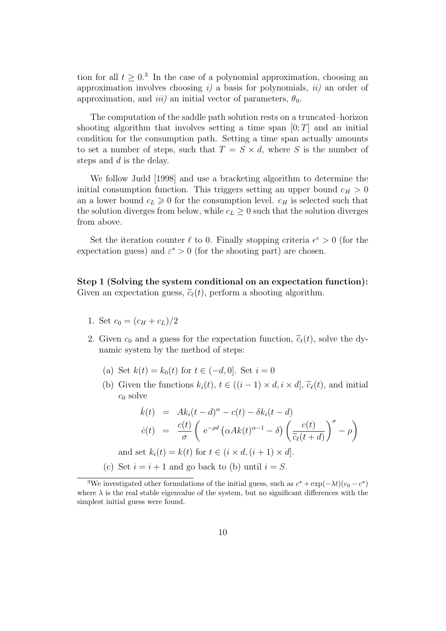tion for all  $t \geq 0.3$  In the case of a polynomial approximation, choosing an approximation involves choosing  $i$ ) a basis for polynomials,  $ii$ ) an order of approximation, and *iii*) an initial vector of parameters,  $\theta_0$ .

The computation of the saddle path solution rests on a truncated–horizon shooting algorithm that involves setting a time span  $[0; T]$  and an initial condition for the consumption path. Setting a time span actually amounts to set a number of steps, such that  $T = S \times d$ , where S is the number of steps and d is the delay.

We follow Judd [1998] and use a bracketing algorithm to determine the initial consumption function. This triggers setting an upper bound  $c_H > 0$ an a lower bound  $c_L \geq 0$  for the consumption level.  $c_H$  is selected such that the solution diverges from below, while  $c_L \geq 0$  such that the solution diverges from above.

Set the iteration counter  $\ell$  to 0. Finally stopping criteria  $\epsilon^e > 0$  (for the expectation guess) and  $\varepsilon^s > 0$  (for the shooting part) are chosen.

Step 1 (Solving the system conditional on an expectation function): Given an expectation guess,  $\tilde{c}_{\ell}(t)$ , perform a shooting algorithm.

- 1. Set  $c_0 = (c_H + c_L)/2$
- 2. Given  $c_0$  and a guess for the expectation function,  $\tilde{c}_{\ell}(t)$ , solve the dynamic system by the method of steps:
	- (a) Set  $k(t) = k_0(t)$  for  $t \in (-d, 0]$ . Set  $i = 0$
	- (b) Given the functions  $k_i(t)$ ,  $t \in ((i-1) \times d, i \times d]$ ,  $\tilde{c}_{\ell}(t)$ , and initial  $c_0$  solve

$$
\dot{k}(t) = Ak_i(t-d)^{\alpha} - c(t) - \delta k_i(t-d)
$$
\n
$$
\dot{c}(t) = \frac{c(t)}{\sigma} \left( e^{-\rho d} \left( \alpha Ak(t)^{\alpha-1} - \delta \right) \left( \frac{c(t)}{\tilde{c}_{\ell}(t+d)} \right)^{\sigma} - \rho \right)
$$

and set  $k_i(t) = k(t)$  for  $t \in (i \times d, (i + 1) \times d]$ .

(c) Set  $i = i + 1$  and go back to (b) until  $i = S$ .

<sup>&</sup>lt;sup>3</sup>We investigated other formulations of the initial guess, such as  $c^* + \exp(-\lambda t)(c_0 - c^*)$ where  $\lambda$  is the real stable eigenvalue of the system, but no significant differences with the simplest initial guess were found.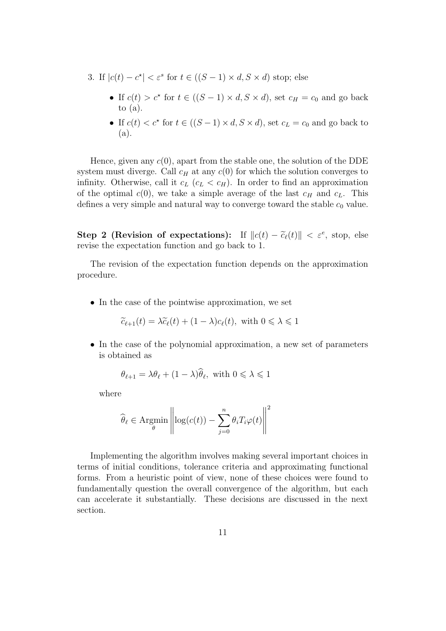- 3. If  $|c(t) c^*| < \varepsilon^s$  for  $t \in ((S 1) \times d, S \times d)$  stop; else
	- If  $c(t) > c^*$  for  $t \in ((S 1) \times d, S \times d)$ , set  $c_H = c_0$  and go back to  $(a)$ .
	- If  $c(t) < c^*$  for  $t \in ((S-1) \times d, S \times d)$ , set  $c_L = c_0$  and go back to (a).

Hence, given any  $c(0)$ , apart from the stable one, the solution of the DDE system must diverge. Call  $c_H$  at any  $c(0)$  for which the solution converges to infinity. Otherwise, call it  $c_L$  ( $c_L < c_H$ ). In order to find an approximation of the optimal  $c(0)$ , we take a simple average of the last  $c_H$  and  $c_L$ . This defines a very simple and natural way to converge toward the stable  $c_0$  value.

Step 2 (Revision of expectations): If  $||c(t) - \tilde{c}_{\ell}(t)|| < \varepsilon^e$ , stop, else revise the expectation function and go back to 1.

The revision of the expectation function depends on the approximation procedure.

• In the case of the pointwise approximation, we set

$$
\widetilde{c}_{\ell+1}(t) = \lambda \widetilde{c}_{\ell}(t) + (1 - \lambda)c_{\ell}(t), \text{ with } 0 \leq \lambda \leq 1
$$

• In the case of the polynomial approximation, a new set of parameters is obtained as

$$
\theta_{\ell+1} = \lambda \theta_{\ell} + (1 - \lambda)\theta_{\ell}, \text{ with } 0 \le \lambda \le 1
$$

where

$$
\widehat{\theta}_{\ell} \in \operatorname{Argmin}_{\theta} \left\| \log(c(t)) - \sum_{j=0}^{n} \theta_{i} T_{i} \varphi(t) \right\|^{2}
$$

Implementing the algorithm involves making several important choices in terms of initial conditions, tolerance criteria and approximating functional forms. From a heuristic point of view, none of these choices were found to fundamentally question the overall convergence of the algorithm, but each can accelerate it substantially. These decisions are discussed in the next section.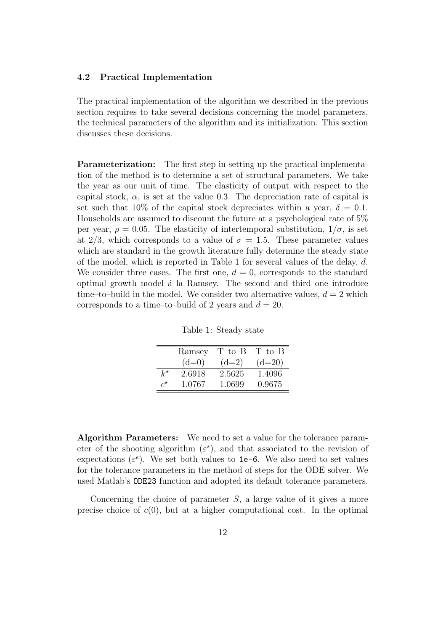#### 4.2 Practical Implementation

The practical implementation of the algorithm we described in the previous section requires to take several decisions concerning the model parameters, the technical parameters of the algorithm and its initialization. This section discusses these decisions.

Parameterization: The first step in setting up the practical implementation of the method is to determine a set of structural parameters. We take the year as our unit of time. The elasticity of output with respect to the capital stock,  $\alpha$ , is set at the value 0.3. The depreciation rate of capital is set such that 10% of the capital stock depreciates within a year,  $\delta = 0.1$ . Households are assumed to discount the future at a psychological rate of 5% per year,  $\rho = 0.05$ . The elasticity of intertemporal substitution,  $1/\sigma$ , is set at 2/3, which corresponds to a value of  $\sigma = 1.5$ . These parameter values which are standard in the growth literature fully determine the steady state of the model, which is reported in Table 1 for several values of the delay,  $d$ . We consider three cases. The first one,  $d = 0$ , corresponds to the standard optimal growth model a´ la Ramsey. The second and third one introduce time–to–build in the model. We consider two alternative values,  $d = 2$  which corresponds to a time–to–build of 2 years and  $d = 20$ .

Table 1: Steady state

|                       | Ramsey  | T-to-B  | $T$ –to– $B$ |
|-----------------------|---------|---------|--------------|
|                       | $(d=0)$ | $(d=2)$ | $(d=20)$     |
| $k^{\star}$           | 2.6918  | 2.5625  | 1.4096       |
| $\mathcal{C}^{\star}$ | 1.0767  | 1.0699  | 0.9675       |

Algorithm Parameters: We need to set a value for the tolerance parameter of the shooting algorithm  $(\varepsilon^s)$ , and that associated to the revision of expectations  $(\varepsilon^e)$ . We set both values to 1e-6. We also need to set values for the tolerance parameters in the method of steps for the ODE solver. We used Matlab's ODE23 function and adopted its default tolerance parameters.

Concerning the choice of parameter  $S$ , a large value of it gives a more precise choice of  $c(0)$ , but at a higher computational cost. In the optimal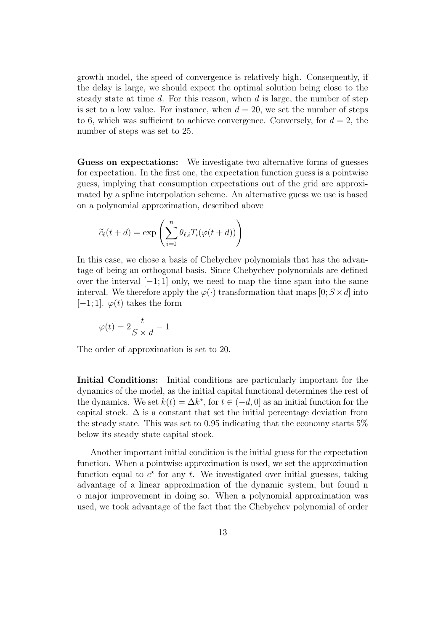growth model, the speed of convergence is relatively high. Consequently, if the delay is large, we should expect the optimal solution being close to the steady state at time  $d$ . For this reason, when  $d$  is large, the number of step is set to a low value. For instance, when  $d = 20$ , we set the number of steps to 6, which was sufficient to achieve convergence. Conversely, for  $d = 2$ , the number of steps was set to 25.

Guess on expectations: We investigate two alternative forms of guesses for expectation. In the first one, the expectation function guess is a pointwise guess, implying that consumption expectations out of the grid are approximated by a spline interpolation scheme. An alternative guess we use is based on a polynomial approximation, described above

$$
\widetilde{c}_{\ell}(t+d) = \exp\left(\sum_{i=0}^{n} \theta_{\ell,i} T_i(\varphi(t+d))\right)
$$

In this case, we chose a basis of Chebychev polynomials that has the advantage of being an orthogonal basis. Since Chebychev polynomials are defined over the interval  $[-1; 1]$  only, we need to map the time span into the same interval. We therefore apply the  $\varphi(\cdot)$  transformation that maps  $[0; S \times d]$  into  $[-1; 1]$ .  $\varphi(t)$  takes the form

$$
\varphi(t) = 2\frac{t}{S \times d} - 1
$$

The order of approximation is set to 20.

Initial Conditions: Initial conditions are particularly important for the dynamics of the model, as the initial capital functional determines the rest of the dynamics. We set  $k(t) = \Delta k^*$ , for  $t \in (-d, 0]$  as an initial function for the capital stock.  $\Delta$  is a constant that set the initial percentage deviation from the steady state. This was set to 0.95 indicating that the economy starts 5% below its steady state capital stock.

Another important initial condition is the initial guess for the expectation function. When a pointwise approximation is used, we set the approximation function equal to  $c^*$  for any t. We investigated over initial guesses, taking advantage of a linear approximation of the dynamic system, but found n o major improvement in doing so. When a polynomial approximation was used, we took advantage of the fact that the Chebychev polynomial of order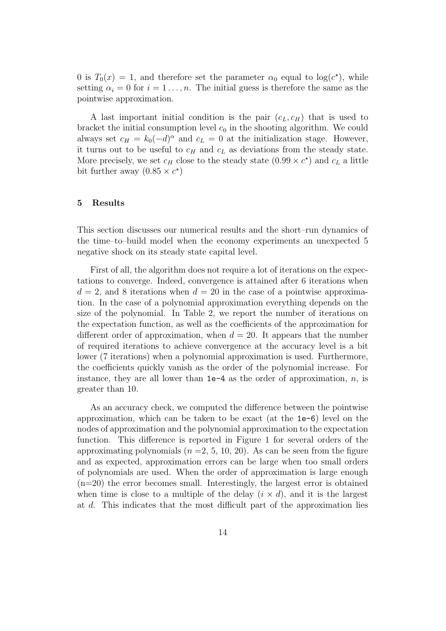0 is  $T_0(x) = 1$ , and therefore set the parameter  $\alpha_0$  equal to  $\log(c^*)$ , while setting  $\alpha_i = 0$  for  $i = 1, \ldots, n$ . The initial guess is therefore the same as the pointwise approximation.

A last important initial condition is the pair  $(c<sub>L</sub>, c<sub>H</sub>)$  that is used to bracket the initial consumption level  $c_0$  in the shooting algorithm. We could always set  $c_H = k_0(-d)^\alpha$  and  $c_L = 0$  at the initialization stage. However, it turns out to be useful to  $c_H$  and  $c_L$  as deviations from the steady state. More precisely, we set  $c_H$  close to the steady state  $(0.99 \times c^*)$  and  $c_L$  a little bit further away  $(0.85 \times c^*)$ 

#### 5 Results

This section discusses our numerical results and the short–run dynamics of the time–to–build model when the economy experiments an unexpected 5 negative shock on its steady state capital level.

First of all, the algorithm does not require a lot of iterations on the expectations to converge. Indeed, convergence is attained after 6 iterations when  $d = 2$ , and 8 iterations when  $d = 20$  in the case of a pointwise approximation. In the case of a polynomial approximation everything depends on the size of the polynomial. In Table 2, we report the number of iterations on the expectation function, as well as the coefficients of the approximation for different order of approximation, when  $d = 20$ . It appears that the number of required iterations to achieve convergence at the accuracy level is a bit lower (7 iterations) when a polynomial approximation is used. Furthermore, the coefficients quickly vanish as the order of the polynomial increase. For instance, they are all lower than  $1e-4$  as the order of approximation, n, is greater than 10.

As an accuracy check, we computed the difference between the pointwise approximation, which can be taken to be exact (at the 1e-6) level on the nodes of approximation and the polynomial approximation to the expectation function. This difference is reported in Figure 1 for several orders of the approximating polynomials  $(n = 2, 5, 10, 20)$ . As can be seen from the figure and as expected, approximation errors can be large when too small orders of polynomials are used. When the order of approximation is large enough (n=20) the error becomes small. Interestingly, the largest error is obtained when time is close to a multiple of the delay  $(i \times d)$ , and it is the largest at d. This indicates that the most difficult part of the approximation lies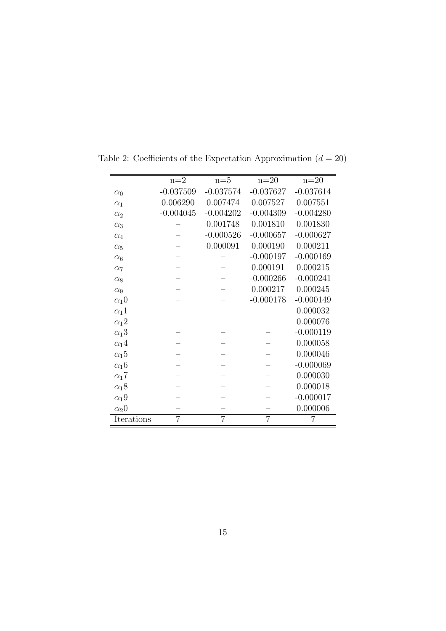|                         | $n=2$          | $n=5$          | $n=20$         | $n=20$      |
|-------------------------|----------------|----------------|----------------|-------------|
| $\alpha_0$              | $-0.037509$    | $-0.037574$    | $-0.037627$    | $-0.037614$ |
| $\alpha_1$              | 0.006290       | 0.007474       | 0.007527       | 0.007551    |
| $\alpha_2$              | $-0.004045$    | $-0.004202$    | $-0.004309$    | $-0.004280$ |
| $\alpha_3$              |                | 0.001748       | 0.001810       | 0.001830    |
| $\alpha_4$              |                | $-0.000526$    | $-0.000657$    | $-0.000627$ |
| $\alpha_5$              |                | 0.000091       | 0.000190       | 0.000211    |
| $\alpha_6$              |                |                | $-0.000197$    | $-0.000169$ |
| $\alpha_7$              |                |                | 0.000191       | 0.000215    |
| $\alpha_8$              |                |                | $-0.000266$    | $-0.000241$ |
| $\alpha_9$              |                |                | 0.000217       | 0.000245    |
| $\alpha_1$ <sup>0</sup> |                |                | $-0.000178$    | $-0.000149$ |
| $\alpha_1 1$            |                |                |                | 0.000032    |
| $\alpha_1$ 2            |                |                |                | 0.000076    |
| $\alpha_1$ 3            |                |                |                | $-0.000119$ |
| $\alpha_1$ 4            |                |                |                | 0.000058    |
| $\alpha_1 5$            |                |                |                | 0.000046    |
| $\alpha_1$ 6            |                |                |                | $-0.000069$ |
| $\alpha_1$ 7            |                |                |                | 0.000030    |
| $\alpha_18$             |                |                |                | 0.000018    |
| $\alpha_1$ 9            |                |                |                | $-0.000017$ |
| $\alpha_2$ <sup>0</sup> |                |                |                | 0.000006    |
| Iterations              | $\overline{7}$ | $\overline{7}$ | $\overline{7}$ | 7           |

Table 2: Coefficients of the Expectation Approximation  $(d = 20)$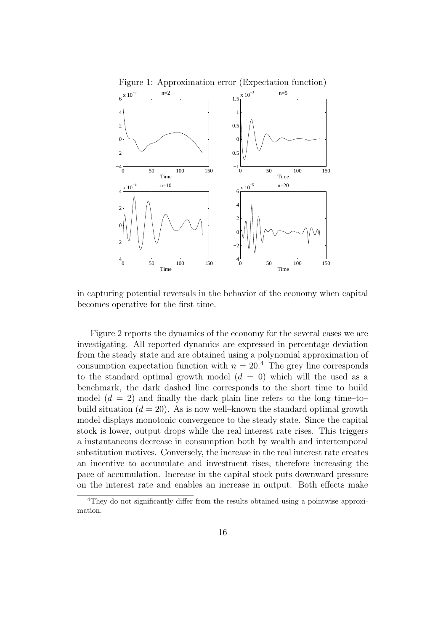

Figure 1: Approximation error (Expectation function)

in capturing potential reversals in the behavior of the economy when capital becomes operative for the first time.

Figure 2 reports the dynamics of the economy for the several cases we are investigating. All reported dynamics are expressed in percentage deviation from the steady state and are obtained using a polynomial approximation of consumption expectation function with  $n = 20<sup>4</sup>$ . The grey line corresponds to the standard optimal growth model  $(d = 0)$  which will the used as a benchmark, the dark dashed line corresponds to the short time–to–build model  $(d = 2)$  and finally the dark plain line refers to the long time-tobuild situation  $(d = 20)$ . As is now well–known the standard optimal growth model displays monotonic convergence to the steady state. Since the capital stock is lower, output drops while the real interest rate rises. This triggers a instantaneous decrease in consumption both by wealth and intertemporal substitution motives. Conversely, the increase in the real interest rate creates an incentive to accumulate and investment rises, therefore increasing the pace of accumulation. Increase in the capital stock puts downward pressure on the interest rate and enables an increase in output. Both effects make

<sup>&</sup>lt;sup>4</sup>They do not significantly differ from the results obtained using a pointwise approximation.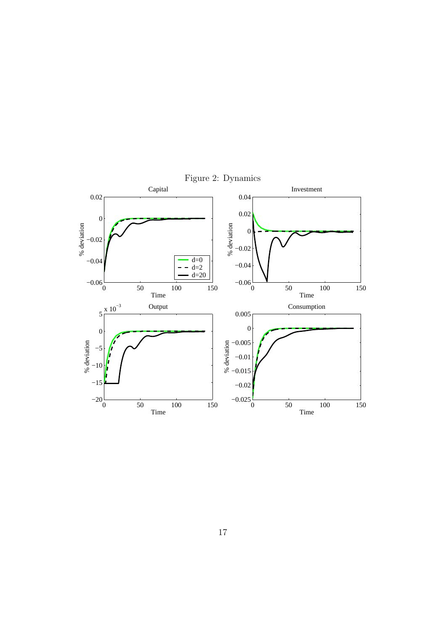

Figure 2: Dynamics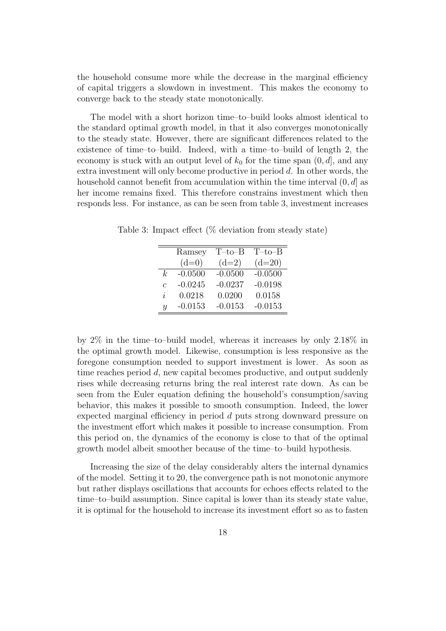the household consume more while the decrease in the marginal efficiency of capital triggers a slowdown in investment. This makes the economy to converge back to the steady state monotonically.

The model with a short horizon time–to–build looks almost identical to the standard optimal growth model, in that it also converges monotonically to the steady state. However, there are significant differences related to the existence of time–to–build. Indeed, with a time–to–build of length 2, the economy is stuck with an output level of  $k_0$  for the time span  $(0, d]$ , and any extra investment will only become productive in period d. In other words, the household cannot benefit from accumulation within the time interval  $(0, d]$  as her income remains fixed. This therefore constrains investment which then responds less. For instance, as can be seen from table 3, investment increases

Ramsey T–to–B T–to–B  $(d=0)$   $(d=2)$   $(d=20)$ k -0.0500 -0.0500 -0.0500 c -0.0245 -0.0237 -0.0198 i 0.0218 0.0200 0.0158 y -0.0153 -0.0153 -0.0153

Table 3: Impact effect (% deviation from steady state)

by 2% in the time–to–build model, whereas it increases by only 2.18% in the optimal growth model. Likewise, consumption is less responsive as the foregone consumption needed to support investment is lower. As soon as time reaches period d, new capital becomes productive, and output suddenly rises while decreasing returns bring the real interest rate down. As can be seen from the Euler equation defining the household's consumption/saving behavior, this makes it possible to smooth consumption. Indeed, the lower expected marginal efficiency in period d puts strong downward pressure on the investment effort which makes it possible to increase consumption. From this period on, the dynamics of the economy is close to that of the optimal growth model albeit smoother because of the time–to–build hypothesis.

Increasing the size of the delay considerably alters the internal dynamics of the model. Setting it to 20, the convergence path is not monotonic anymore but rather displays oscillations that accounts for echoes effects related to the time–to–build assumption. Since capital is lower than its steady state value, it is optimal for the household to increase its investment effort so as to fasten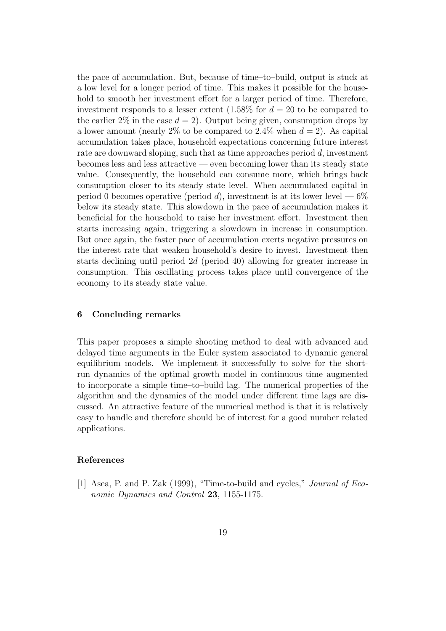the pace of accumulation. But, because of time–to–build, output is stuck at a low level for a longer period of time. This makes it possible for the household to smooth her investment effort for a larger period of time. Therefore, investment responds to a lesser extent  $(1.58\%$  for  $d = 20$  to be compared to the earlier  $2\%$  in the case  $d = 2$ ). Output being given, consumption drops by a lower amount (nearly 2% to be compared to 2.4% when  $d = 2$ ). As capital accumulation takes place, household expectations concerning future interest rate are downward sloping, such that as time approaches period  $d$ , investment becomes less and less attractive — even becoming lower than its steady state value. Consequently, the household can consume more, which brings back consumption closer to its steady state level. When accumulated capital in period 0 becomes operative (period d), investment is at its lower level  $-6\%$ below its steady state. This slowdown in the pace of accumulation makes it beneficial for the household to raise her investment effort. Investment then starts increasing again, triggering a slowdown in increase in consumption. But once again, the faster pace of accumulation exerts negative pressures on the interest rate that weaken household's desire to invest. Investment then starts declining until period 2d (period 40) allowing for greater increase in consumption. This oscillating process takes place until convergence of the economy to its steady state value.

#### 6 Concluding remarks

This paper proposes a simple shooting method to deal with advanced and delayed time arguments in the Euler system associated to dynamic general equilibrium models. We implement it successfully to solve for the shortrun dynamics of the optimal growth model in continuous time augmented to incorporate a simple time–to–build lag. The numerical properties of the algorithm and the dynamics of the model under different time lags are discussed. An attractive feature of the numerical method is that it is relatively easy to handle and therefore should be of interest for a good number related applications.

#### References

[1] Asea, P. and P. Zak (1999), "Time-to-build and cycles," Journal of Economic Dynamics and Control 23, 1155-1175.